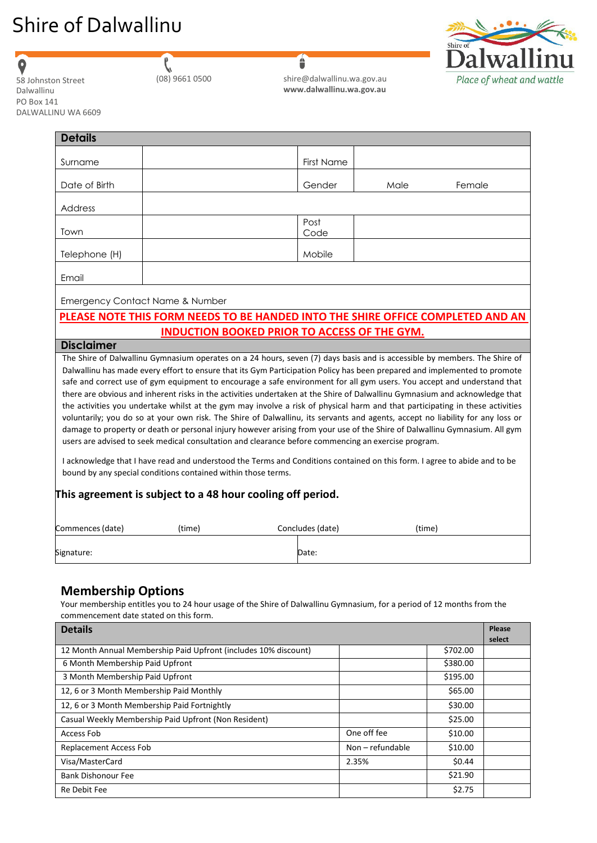# Shire of Dalwallinu



 $\bullet$ 

|  | 08) 9661 0500 |
|--|---------------|

 $\mathbf{r}$ 

| 58 Johnston Street | (08) 9661 0500 | shire@dalwallinu.wa.gov.au |
|--------------------|----------------|----------------------------|
| Dalwallinu         |                | www.dalwallinu.wa.gov.au   |

6

| <b>Details</b>                                                |        |                                                                                                                                                                                                                                                                                                                                                                                                                                                                                                                                                                                                                                                                                                                                                                                                                                                                                             |        |        |
|---------------------------------------------------------------|--------|---------------------------------------------------------------------------------------------------------------------------------------------------------------------------------------------------------------------------------------------------------------------------------------------------------------------------------------------------------------------------------------------------------------------------------------------------------------------------------------------------------------------------------------------------------------------------------------------------------------------------------------------------------------------------------------------------------------------------------------------------------------------------------------------------------------------------------------------------------------------------------------------|--------|--------|
| Surname                                                       |        | <b>First Name</b>                                                                                                                                                                                                                                                                                                                                                                                                                                                                                                                                                                                                                                                                                                                                                                                                                                                                           |        |        |
| Date of Birth                                                 |        | Gender                                                                                                                                                                                                                                                                                                                                                                                                                                                                                                                                                                                                                                                                                                                                                                                                                                                                                      | Male   | Female |
| Address                                                       |        |                                                                                                                                                                                                                                                                                                                                                                                                                                                                                                                                                                                                                                                                                                                                                                                                                                                                                             |        |        |
| Town                                                          |        | Post<br>Code                                                                                                                                                                                                                                                                                                                                                                                                                                                                                                                                                                                                                                                                                                                                                                                                                                                                                |        |        |
| Telephone (H)                                                 |        | Mobile                                                                                                                                                                                                                                                                                                                                                                                                                                                                                                                                                                                                                                                                                                                                                                                                                                                                                      |        |        |
| Email                                                         |        |                                                                                                                                                                                                                                                                                                                                                                                                                                                                                                                                                                                                                                                                                                                                                                                                                                                                                             |        |        |
| Emergency Contact Name & Number                               |        |                                                                                                                                                                                                                                                                                                                                                                                                                                                                                                                                                                                                                                                                                                                                                                                                                                                                                             |        |        |
|                                                               |        | PLEASE NOTE THIS FORM NEEDS TO BE HANDED INTO THE SHIRE OFFICE COMPLETED AND AN                                                                                                                                                                                                                                                                                                                                                                                                                                                                                                                                                                                                                                                                                                                                                                                                             |        |        |
| <b>Disclaimer</b>                                             |        | <b>INDUCTION BOOKED PRIOR TO ACCESS OF THE GYM.</b>                                                                                                                                                                                                                                                                                                                                                                                                                                                                                                                                                                                                                                                                                                                                                                                                                                         |        |        |
|                                                               |        | Dalwallinu has made every effort to ensure that its Gym Participation Policy has been prepared and implemented to promote<br>safe and correct use of gym equipment to encourage a safe environment for all gym users. You accept and understand that<br>there are obvious and inherent risks in the activities undertaken at the Shire of Dalwallinu Gymnasium and acknowledge that<br>the activities you undertake whilst at the gym may involve a risk of physical harm and that participating in these activities<br>voluntarily; you do so at your own risk. The Shire of Dalwallinu, its servants and agents, accept no liability for any loss or<br>damage to property or death or personal injury however arising from your use of the Shire of Dalwallinu Gymnasium. All gym<br>users are advised to seek medical consultation and clearance before commencing an exercise program. |        |        |
| bound by any special conditions contained within those terms. |        | I acknowledge that I have read and understood the Terms and Conditions contained on this form. I agree to abide and to be                                                                                                                                                                                                                                                                                                                                                                                                                                                                                                                                                                                                                                                                                                                                                                   |        |        |
| This agreement is subject to a 48 hour cooling off period.    |        |                                                                                                                                                                                                                                                                                                                                                                                                                                                                                                                                                                                                                                                                                                                                                                                                                                                                                             |        |        |
| Commences (date)                                              | (time) | Concludes (date)                                                                                                                                                                                                                                                                                                                                                                                                                                                                                                                                                                                                                                                                                                                                                                                                                                                                            | (time) |        |
|                                                               |        |                                                                                                                                                                                                                                                                                                                                                                                                                                                                                                                                                                                                                                                                                                                                                                                                                                                                                             |        |        |

### **Membership Options**

Your membership entitles you to 24 hour usage of the Shire of Dalwallinu Gymnasium, for a period of 12 months from the commencement date stated on this form.

| <b>Details</b>                                                  |                  |          |        |
|-----------------------------------------------------------------|------------------|----------|--------|
| 12 Month Annual Membership Paid Upfront (includes 10% discount) |                  | \$702.00 | select |
| 6 Month Membership Paid Upfront                                 |                  | \$380.00 |        |
|                                                                 |                  |          |        |
| 3 Month Membership Paid Upfront                                 |                  | \$195.00 |        |
| 12, 6 or 3 Month Membership Paid Monthly                        |                  | \$65.00  |        |
| 12, 6 or 3 Month Membership Paid Fortnightly                    |                  | \$30.00  |        |
| Casual Weekly Membership Paid Upfront (Non Resident)            |                  | \$25.00  |        |
| Access Fob                                                      | One off fee      | \$10.00  |        |
| <b>Replacement Access Fob</b>                                   | Non – refundable | \$10.00  |        |
| Visa/MasterCard                                                 | 2.35%            | \$0.44   |        |
| Bank Dishonour Fee                                              |                  | \$21.90  |        |
| Re Debit Fee                                                    |                  | \$2.75   |        |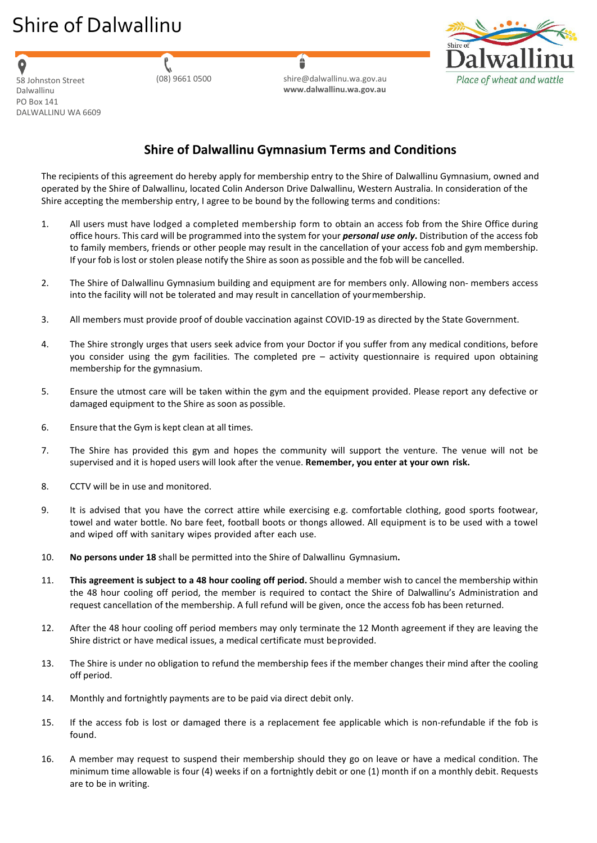# Shire of Dalwallinu

Dalwallinu PO Box 141 DALWALLINU WA 6609

(08) 9661 0500 [shire@dalwallinu.wa.gov.au](mailto:shire@dalwallinu.wa.gov.au) **[www.dalwallinu.wa.gov.au](http://www.dalwallinu.wa.gov.au/)** 58 Johnston Street



## **Shire of Dalwallinu Gymnasium Terms and Conditions**

Â

The recipients of this agreement do hereby apply for membership entry to the Shire of Dalwallinu Gymnasium, owned and operated by the Shire of Dalwallinu, located Colin Anderson Drive Dalwallinu, Western Australia. In consideration of the Shire accepting the membership entry, I agree to be bound by the following terms and conditions:

- 1. All users must have lodged a completed membership form to obtain an access fob from the Shire Office during office hours. This card will be programmed into the system for your *personal use only***.** Distribution of the access fob to family members, friends or other people may result in the cancellation of your access fob and gym membership. If your fob is lost or stolen please notify the Shire as soon as possible and the fob will be cancelled.
- 2. The Shire of Dalwallinu Gymnasium building and equipment are for members only. Allowing non- members access into the facility will not be tolerated and may result in cancellation of yourmembership.
- 3. All members must provide proof of double vaccination against COVID-19 as directed by the State Government.
- 4. The Shire strongly urges that users seek advice from your Doctor if you suffer from any medical conditions, before you consider using the gym facilities. The completed pre – activity questionnaire is required upon obtaining membership for the gymnasium.
- 5. Ensure the utmost care will be taken within the gym and the equipment provided. Please report any defective or damaged equipment to the Shire as soon as possible.
- 6. Ensure that the Gym is kept clean at all times.
- 7. The Shire has provided this gym and hopes the community will support the venture. The venue will not be supervised and it is hoped users will look after the venue. **Remember, you enter at your own risk.**
- 8. CCTV will be in use and monitored.
- 9. It is advised that you have the correct attire while exercising e.g. comfortable clothing, good sports footwear, towel and water bottle. No bare feet, football boots or thongs allowed. All equipment is to be used with a towel and wiped off with sanitary wipes provided after each use.
- 10. **No persons under 18** shall be permitted into the Shire of Dalwallinu Gymnasium**.**
- 11. **This agreement is subject to a 48 hour cooling off period.** Should a member wish to cancel the membership within the 48 hour cooling off period, the member is required to contact the Shire of Dalwallinu's Administration and request cancellation of the membership. A full refund will be given, once the access fob has been returned.
- 12. After the 48 hour cooling off period members may only terminate the 12 Month agreement if they are leaving the Shire district or have medical issues, a medical certificate must beprovided.
- 13. The Shire is under no obligation to refund the membership fees if the member changes their mind after the cooling off period.
- 14. Monthly and fortnightly payments are to be paid via direct debit only.
- 15. If the access fob is lost or damaged there is a replacement fee applicable which is non-refundable if the fob is found.
- 16. A member may request to suspend their membership should they go on leave or have a medical condition. The minimum time allowable is four (4) weeks if on a fortnightly debit or one (1) month if on a monthly debit. Requests are to be in writing.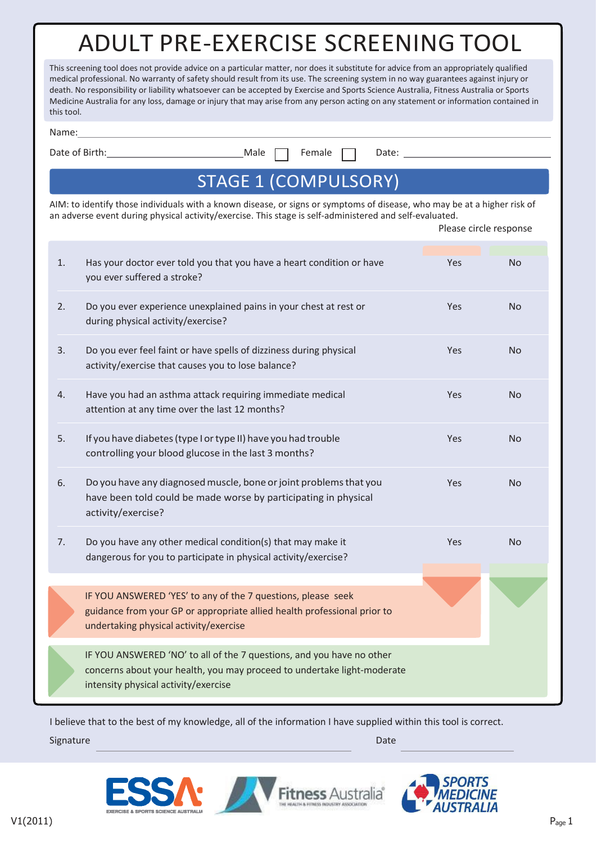# ADULT PRE-EXERCISE SCREENING TOOL

| This screening tool does not provide advice on a particular matter, nor does it substitute for advice from an appropriately qualified  |
|----------------------------------------------------------------------------------------------------------------------------------------|
| medical professional. No warranty of safety should result from its use. The screening system in no way guarantees against injury or    |
| death. No responsibility or liability whatsoever can be accepted by Exercise and Sports Science Australia, Fitness Australia or Sports |
| Medicine Australia for any loss, damage or injury that may arise from any person acting on any statement or information contained in   |
| this tool.                                                                                                                             |

| .,<br>× |  | ۰.<br>× |  |
|---------|--|---------|--|

Date of Birth: Male **Female Products** Date:

Please circle response

## STAGE 1 (COMPULSORY)

AIM: to identify those individuals with a known disease, or signs or symptoms of disease, who may be at a higher risk of an adverse event during physical activity/exercise. This stage is self-administered and self-evaluated.

| 1. | Has your doctor ever told you that you have a heart condition or have<br>you ever suffered a stroke?                                                                                     | Yes        | <b>No</b>      |
|----|------------------------------------------------------------------------------------------------------------------------------------------------------------------------------------------|------------|----------------|
| 2. | Do you ever experience unexplained pains in your chest at rest or<br>during physical activity/exercise?                                                                                  | Yes        | N <sub>o</sub> |
| 3. | Do you ever feel faint or have spells of dizziness during physical<br>activity/exercise that causes you to lose balance?                                                                 | Yes        | N <sub>o</sub> |
| 4. | Have you had an asthma attack requiring immediate medical<br>attention at any time over the last 12 months?                                                                              | <b>Yes</b> | No.            |
| 5. | If you have diabetes (type I or type II) have you had trouble<br>controlling your blood glucose in the last 3 months?                                                                    | Yes        | N <sub>o</sub> |
| 6. | Do you have any diagnosed muscle, bone or joint problems that you<br>have been told could be made worse by participating in physical<br>activity/exercise?                               | <b>Yes</b> | N <sub>o</sub> |
| 7. | Do you have any other medical condition(s) that may make it<br>dangerous for you to participate in physical activity/exercise?                                                           | Yes        | N <sub>o</sub> |
|    |                                                                                                                                                                                          |            |                |
|    | IF YOU ANSWERED 'YES' to any of the 7 questions, please seek<br>guidance from your GP or appropriate allied health professional prior to<br>undertaking physical activity/exercise       |            |                |
|    | IF YOU ANSWERED 'NO' to all of the 7 questions, and you have no other<br>concerns about your health, you may proceed to undertake light-moderate<br>intensity physical activity/exercise |            |                |
|    |                                                                                                                                                                                          |            |                |

I believe that to the best of my knowledge, all of the information I have supplied within this tool is correct.

Signature Date Communication of the Communication of the Communication of the Date

Fitness Australia®



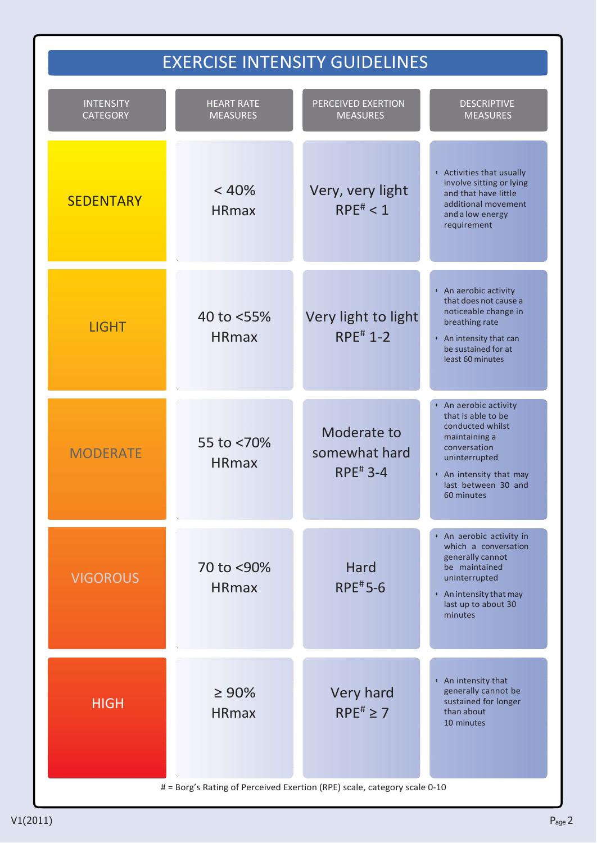## EXERCISE INTENSITY GUIDELINES

| <b>INTENSITY</b><br><b>CATEGORY</b> | <b>HEART RATE</b><br><b>MEASURES</b> | PERCEIVED EXERTION<br><b>MEASURES</b>                                                                      | <b>DESCRIPTIVE</b><br><b>MEASURES</b>                                                                                                                                             |
|-------------------------------------|--------------------------------------|------------------------------------------------------------------------------------------------------------|-----------------------------------------------------------------------------------------------------------------------------------------------------------------------------------|
| <b>SEDENTARY</b>                    | < 40%<br><b>HRmax</b>                | Very, very light<br>$RPE^{\#} < 1$                                                                         | • Activities that usually<br>involve sitting or lying<br>and that have little<br>additional movement<br>and a low energy<br>requirement                                           |
| <b>LIGHT</b>                        | 40 to <55%<br><b>HRmax</b>           | Very light to light<br>$RPE^{\#}$ 1-2                                                                      | • An aerobic activity<br>that does not cause a<br>noticeable change in<br>breathing rate<br>• An intensity that can<br>be sustained for at<br>least 60 minutes                    |
| <b>MODERATE</b>                     | 55 to <70%<br><b>HRmax</b>           | Moderate to<br>somewhat hard<br>$RPE^{\#}$ 3-4                                                             | • An aerobic activity<br>that is able to be<br>conducted whilst<br>maintaining a<br>conversation<br>uninterrupted<br>• An intensity that may<br>last between 30 and<br>60 minutes |
| <b>VIGOROUS</b>                     | 70 to <90%<br><b>HRmax</b>           | <b>Hard</b><br><b>RPE#5-6</b>                                                                              | • An aerobic activity in<br>which a conversation<br>generally cannot<br>be maintained<br>uninterrupted<br>• An intensity that may<br>last up to about 30<br>minutes               |
| <b>HIGH</b>                         | $\geq 90\%$<br><b>HRmax</b>          | Very hard<br>$RPE^{\#} \geq 7$<br># = Borg's Rating of Perceived Exertion (RPE) scale, category scale 0-10 | • An intensity that<br>generally cannot be<br>sustained for longer<br>than about<br>10 minutes                                                                                    |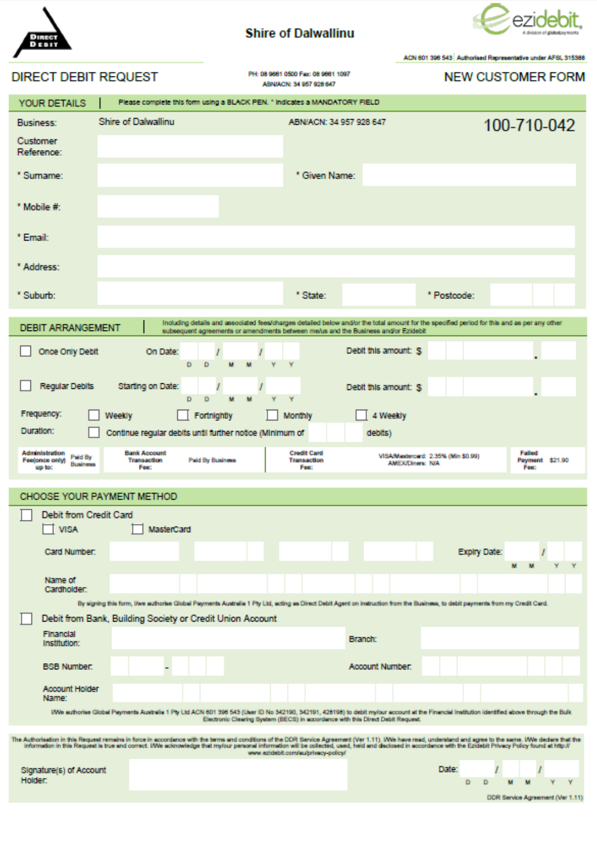

### **Shire of Dalwallinu**



|                                                                                                                                                                                                                                                                                                                                                                                                                                                                       |                                                                |                                                                                                                                                                                                                                   | ACN 601 398 543 Authorised Representative under AFSL 315388              |  |
|-----------------------------------------------------------------------------------------------------------------------------------------------------------------------------------------------------------------------------------------------------------------------------------------------------------------------------------------------------------------------------------------------------------------------------------------------------------------------|----------------------------------------------------------------|-----------------------------------------------------------------------------------------------------------------------------------------------------------------------------------------------------------------------------------|--------------------------------------------------------------------------|--|
| <b>DIRECT DEBIT REQUEST</b>                                                                                                                                                                                                                                                                                                                                                                                                                                           |                                                                | PH: 08 9881 0500 Fax: 08 9881 1097<br>ABN/ACN: 34 957 928 647                                                                                                                                                                     | <b>NEW CUSTOMER FORM</b>                                                 |  |
| YOUR DETAILS                                                                                                                                                                                                                                                                                                                                                                                                                                                          |                                                                | Please complete this form using a BLACK PEN. " Indicates a MANDATORY FIELD                                                                                                                                                        |                                                                          |  |
| <b>Business:</b>                                                                                                                                                                                                                                                                                                                                                                                                                                                      | <b>Shire of Dalwallinu</b>                                     | ABN/ACN: 34 957 928 647                                                                                                                                                                                                           | 100-710-042                                                              |  |
| Customer<br>Reference:                                                                                                                                                                                                                                                                                                                                                                                                                                                |                                                                |                                                                                                                                                                                                                                   |                                                                          |  |
| * Sumame:                                                                                                                                                                                                                                                                                                                                                                                                                                                             |                                                                | * Given Name:                                                                                                                                                                                                                     |                                                                          |  |
| * Mobile #:                                                                                                                                                                                                                                                                                                                                                                                                                                                           |                                                                |                                                                                                                                                                                                                                   |                                                                          |  |
| * Email:                                                                                                                                                                                                                                                                                                                                                                                                                                                              |                                                                |                                                                                                                                                                                                                                   |                                                                          |  |
| * Address:                                                                                                                                                                                                                                                                                                                                                                                                                                                            |                                                                |                                                                                                                                                                                                                                   |                                                                          |  |
| * Suburb:                                                                                                                                                                                                                                                                                                                                                                                                                                                             |                                                                | * State:                                                                                                                                                                                                                          | * Postcode:                                                              |  |
| <b>DEBIT ARRANGEMENT</b>                                                                                                                                                                                                                                                                                                                                                                                                                                              |                                                                | Including details and associated fees/charges detailed below and/or the total amount for the specified period for this and as per any other<br>subsequent agreements or amendments between me/us and the Business and/or Ezidebit |                                                                          |  |
| Once Only Debit                                                                                                                                                                                                                                                                                                                                                                                                                                                       | On Date:<br>Ð.<br>D                                            | Debit this amount: \$                                                                                                                                                                                                             |                                                                          |  |
| <b>Regular Debits</b>                                                                                                                                                                                                                                                                                                                                                                                                                                                 | Starting on Date:<br>D<br>D                                    | Debit this amount: S<br>٧                                                                                                                                                                                                         |                                                                          |  |
| Frequency:                                                                                                                                                                                                                                                                                                                                                                                                                                                            | Weekly<br>Fortnightly                                          | 4 Weekly<br>Monthly                                                                                                                                                                                                               |                                                                          |  |
| Duration:                                                                                                                                                                                                                                                                                                                                                                                                                                                             | Continue regular debits until further notice (Minimum of       | debits)                                                                                                                                                                                                                           |                                                                          |  |
| Administration<br>Paid By<br>Fee(once only)<br><b>Business</b><br>up to:                                                                                                                                                                                                                                                                                                                                                                                              | <b>Bank Account</b><br>Transaction<br>Paid By Business<br>Fee: | <b>Credit Card</b><br>Transaction<br><b>AMEX/Diners: N/A</b><br>Fee:                                                                                                                                                              | Falled<br>VISA/Mastercerd: 2.35% (Min \$0.99)<br>Payment \$21.90<br>Fee: |  |
|                                                                                                                                                                                                                                                                                                                                                                                                                                                                       | CHOOSE YOUR PAYMENT METHOD                                     |                                                                                                                                                                                                                                   |                                                                          |  |
| Debit from Credit Card                                                                                                                                                                                                                                                                                                                                                                                                                                                |                                                                |                                                                                                                                                                                                                                   |                                                                          |  |
| <b>VISA</b>                                                                                                                                                                                                                                                                                                                                                                                                                                                           | MasterCard                                                     |                                                                                                                                                                                                                                   |                                                                          |  |
| Card Number:                                                                                                                                                                                                                                                                                                                                                                                                                                                          |                                                                |                                                                                                                                                                                                                                   | Explry Date:                                                             |  |
| Name of<br>Cardholder:                                                                                                                                                                                                                                                                                                                                                                                                                                                |                                                                |                                                                                                                                                                                                                                   |                                                                          |  |
|                                                                                                                                                                                                                                                                                                                                                                                                                                                                       |                                                                | By signing this form, live authorise Global Payments Australia 1 Pty Ltd, acting as Direct Debit Agent on instruction from the Business, to debit payments from my Credit Card.                                                   |                                                                          |  |
| Financial                                                                                                                                                                                                                                                                                                                                                                                                                                                             | Debit from Bank, Building Society or Credit Union Account      |                                                                                                                                                                                                                                   |                                                                          |  |
| Institution:                                                                                                                                                                                                                                                                                                                                                                                                                                                          |                                                                | <b>Branch:</b>                                                                                                                                                                                                                    |                                                                          |  |
| <b>BSB Number:</b>                                                                                                                                                                                                                                                                                                                                                                                                                                                    |                                                                | Account Number:                                                                                                                                                                                                                   |                                                                          |  |
| Account Holder<br>Name:                                                                                                                                                                                                                                                                                                                                                                                                                                               |                                                                |                                                                                                                                                                                                                                   |                                                                          |  |
| IWe authorise Global Payments Australia 1 Pty Ltd ACN 601 396 543 (User ID No 342190, 342191, 428198) to debit mylour account at the Financial Institution identified above through the Bulk<br>Electronic Clearing System (BECS) in accordance with this Direct Debit Request.                                                                                                                                                                                       |                                                                |                                                                                                                                                                                                                                   |                                                                          |  |
| The Authorisation in this Request remains in force in accordance with the terms and conditions of the DDR Service Agreement (Ver 1.11). Whe have read, understand and agree to the same. IWe declare that the<br>information in this Request is true and correct. IWe acknowledge that my/our personal information will be collected, used, held and disclosed in accordance with the Ezidebit Privacy Policy found at http://<br>www.ezidebit.com/au/privacy-policy/ |                                                                |                                                                                                                                                                                                                                   |                                                                          |  |
| Signature(s) of Account                                                                                                                                                                                                                                                                                                                                                                                                                                               |                                                                |                                                                                                                                                                                                                                   | Date:                                                                    |  |
| Holder:                                                                                                                                                                                                                                                                                                                                                                                                                                                               |                                                                |                                                                                                                                                                                                                                   | Ð<br>DDR Service Agreement (Ver 1.11)                                    |  |